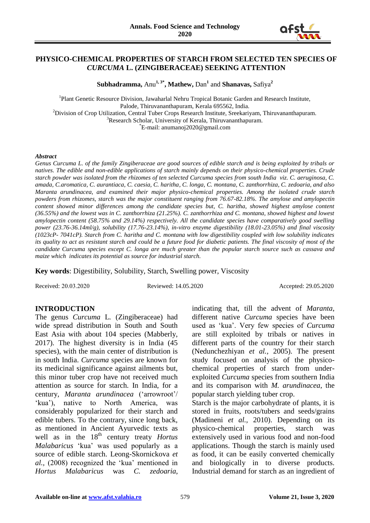

### **PHYSICO-CHEMICAL PROPERTIES OF STARCH FROM SELECTED TEN SPECIES OF**  *CURCUMA* **L. (ZINGIBERACEAE) SEEKING ATTENTION**

**Subhadramma,** Anu**1, 3\*, Mathew,** Dan**<sup>1</sup>** and **Shanavas,** Safiya**<sup>2</sup>**

<sup>1</sup>Plant Genetic Resource Division, Jawaharlal Nehru Tropical Botanic Garden and Research Institute, Palode, Thiruvananthapuram, Kerala 695562, India. <sup>2</sup>Division of Crop Utilization, Central Tuber Crops Research Institute, Sreekariyam, Thiruvananthapuram. <sup>3</sup>Research Scholar, University of Kerala, Thiruvananthapuram. \*E-mail: anumanoj2020@gmail.com

#### *Abstract*

*Genus Curcuma L. of the family Zingiberaceae are good sources of edible starch and is being exploited by tribals or natives. The edible and non-edible applications of starch mainly depends on their physico-chemical properties. Crude starch powder was isolated from the rhizomes of ten selected Curcuma species from south India viz. C. aeruginosa, C. amada, C.aromatica, C. aurantiaca, C. caesia, C. haritha, C. longa, C. montana, C. zanthorrhiza, C. zedoaria, and also Maranta arundinacea, and examined their major physico-chemical properties. Among the isolated crude starch powders from rhizomes, starch was the major constituent ranging from 76.67-82.18%. The amylose and amylopectin content showed minor differences among the candidate species but, C. haritha, showed highest amylose content (36.55%) and the lowest was in C. zanthorrhiza (21.25%). C. zanthorrhiza and C. montana, showed highest and lowest amylopectin content (58.75% and 29.14%) respectively. All the candidate species have comparatively good swelling power (23.76-36.14ml/g), solubility (17.76-23.14%), in-vitro enzyme digestibility (18.01-23.05%) and final viscosity (1023cP- 7041cP). Starch from C. haritha and C. montana with low digestibility coupled with low solubility indicates its quality to act as resistant starch and could be a future food for diabetic patients. The final viscosity of most of the candidate Curcuma species except C. longa are much greater than the popular starch source such as cassava and maize which indicates its potential as source for industrial starch.* 

**Key words**: Digestibility, Solubility, Starch, Swelling power, Viscosity

Received: 20.03.2020 Reviewed: 14.05.2020 Accepted: 29.05.2020

# **INTRODUCTION**

The genus *Curcuma* L*.* (Zingiberaceae) had wide spread distribution in South and South East Asia with about 104 species (Mabberly, 2017). The highest diversity is in India (45 species), with the main center of distribution is in south India. *Curcuma* species are known for its medicinal significance against ailments but, this minor tuber crop have not received much attention as source for starch. In India, for a century, *Maranta arundinacea* ('arrowroot'/ 'kua'), native to North America, was considerably popularized for their starch and edible tubers. To the contrary, since long back, as mentioned in Ancient Ayurvedic texts as well as in the 18<sup>th</sup> century treaty *Hortus Malabaricus* 'kua' was used popularly as a source of edible starch. Leong-Skornickova *et al.,* (2008) recognized the 'kua' mentioned in *Hortus Malabaricus* was *C. zedoaria*,

indicating that, till the advent of *Maranta*, different native *Curcuma* species have been used as 'kua'. Very few species of *Curcuma* are still exploited by tribals or natives in different parts of the country for their starch (Nedunchezhiyan *et al.,* 2005). The present study focused on analysis of the physicochemical properties of starch from underexploited *Curcuma* species from southern India and its comparison with *M. arundinacea*, the popular starch yielding tuber crop.

Starch is the major carbohydrate of plants, it is stored in fruits, roots/tubers and seeds/grains (Madineni *et al.,* 2010). Depending on its physico-chemical properties, starch was extensively used in various food and non-food applications. Though the starch is mainly used as food, it can be easily converted chemically and biologically in to diverse products. Industrial demand for starch as an ingredient of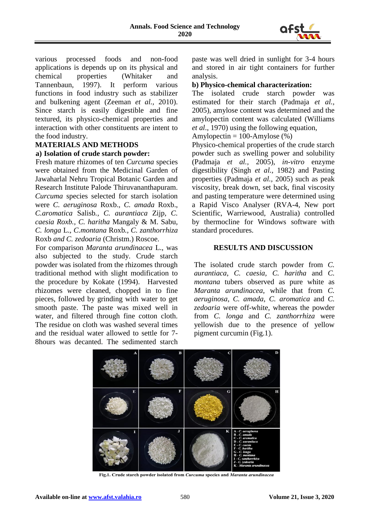

various processed foods and non-food applications is depends up on its physical and chemical properties (Whitaker and Tannenbaun, 1997). It perform various functions in food industry such as stabilizer and bulkening agent (Zeeman *et al.,* 2010). Since starch is easily digestible and fine textured, its physico-chemical properties and interaction with other constituents are intent to the food industry.

# **MATERIALS AND METHODS**

### **a) Isolation of crude starch powder:**

Fresh mature rhizomes of ten *Curcuma* species were obtained from the Medicinal Garden of Jawaharlal Nehru Tropical Botanic Garden and Research Institute Palode Thiruvananthapuram. *Curcuma* species selected for starch isolation were *C. aeruginosa* Roxb.*, C. amada* Roxb., *C.aromatica* Salisb*., C. aurantiaca* Zijp*, C. caesia Roxb., C. haritha* Mangaly & M. Sabu*, C. longa* L., *C.montana* Roxb*., C. zanthorrhiza* Roxb *and C. zedoaria* (Christm.) Roscoe.

For comparison *Maranta arundinacea* L., was also subjected to the study. Crude starch powder was isolated from the rhizomes through traditional method with slight modification to the procedure by Kokate (1994). Harvested rhizomes were cleaned, chopped in to fine pieces, followed by grinding with water to get smooth paste. The paste was mixed well in water, and filtered through fine cotton cloth. The residue on cloth was washed several times and the residual water allowed to settle for 7- 8hours was decanted. The sedimented starch

paste was well dried in sunlight for 3-4 hours and stored in air tight containers for further analysis.

### **b) Physico-chemical characterization:**

The isolated crude starch powder was estimated for their starch (Padmaja *et al.,* 2005), amylose content was determined and the amylopectin content was calculated (Williams *et al*., 1970) using the following equation,

Amylopectin  $= 100$ -Amylose  $(\%)$ 

Physico-chemical properties of the crude starch powder such as swelling power and solubility (Padmaja *et al.,* 2005), *in-vitro* enzyme digestibility (Singh *et al.,* 1982) and Pasting properties (Padmaja *et al.,* 2005) such as peak viscosity, break down, set back, final viscosity and pasting temperature were determined using a Rapid Visco Analyser (RVA-4, New port Scientific, Warriewood, Australia) controlled by thermocline for Windows software with standard procedures.

#### **RESULTS AND DISCUSSION**

The isolated crude starch powder from *C. aurantiaca*, *C. caesia, C. haritha* and *C. montana* tubers observed as pure white as *Maranta arundinacea*, while that from *C. aeruginosa*, *C. amada*, *C. aromatica* and *C. zedoaria* were off-white, whereas the powder from *C. longa* and *C. zanthorrhiza* were yellowish due to the presence of yellow pigment curcumin (Fig.1).



Fig.1. Crude starch powder isolated from Curcuma species and Maranta arundinacea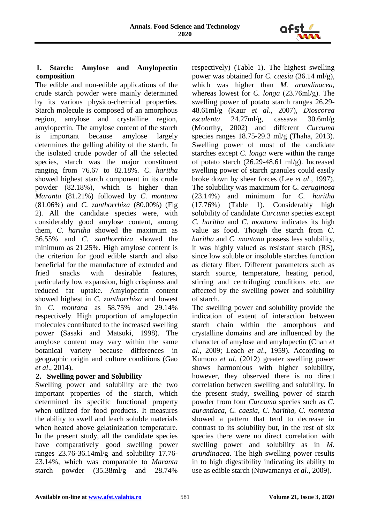

## **1. Starch: Amylose and Amylopectin composition**

The edible and non-edible applications of the crude starch powder were mainly determined by its various physico-chemical properties. Starch molecule is composed of an amorphous region, amylose and crystalline region, amylopectin. The amylose content of the starch is important because amylose largely determines the gelling ability of the starch. In the isolated crude powder of all the selected species, starch was the major constituent ranging from 76.67 to 82.18%. *C*. *haritha* showed highest starch component in its crude powder (82.18%), which is higher than *Maranta* (81.21%) followed by *C. montana* (81.06%) and *C. zanthorrhiza* (80.00%) (Fig 2). All the candidate species were, with considerably good amylose content, among them, *C. haritha* showed the maximum as 36.55% and *C. zanthorrhiza* showed the minimum as 21.25%. High amylose content is the criterion for good edible starch and also beneficial for the manufacture of extruded and fried snacks with desirable features, particularly low expansion, high crispiness and reduced fat uptake. Amylopectin content showed highest in *C. zanthorrhiza* and lowest in *C. montana* as 58.75% and 29.14% respectively. High proportion of amylopectin molecules contributed to the increased swelling power (Sasaki and Matsuki, 1998). The amylose content may vary within the same botanical variety because differences in geographic origin and culture conditions (Gao *et al*., 2014).

# **2. Swelling power and Solubility**

Swelling power and solubility are the two important properties of the starch, which determined its specific functional property when utilized for food products. It measures the ability to swell and leach soluble materials when heated above gelatinization temperature. In the present study, all the candidate species have comparatively good swelling power ranges 23.76-36.14ml/g and solubility 17.76- 23.14%, which was comparable to *Maranta* starch powder (35.38ml/g and 28.74%

respectively) (Table 1). The highest swelling power was obtained for *C. caesia* (36.14 ml/g), which was higher than *M. arundinacea,*  whereas lowest for *C. longa* (23.76ml/g). The swelling power of potato starch ranges 26.29- 48.61ml/g (Kaur *et al*., 2007), *Dioscorea esculenta* 24.27ml/g, cassava 30.6ml/g (Moorthy, 2002) and different *Curcuma* species ranges 18.75-29.3 ml/g (Thaha, 2013). Swelling power of most of the candidate starches except *C. longa* were within the range of potato starch  $(26.29-48.61 \text{ ml/g})$ . Increased swelling power of starch granules could easily broke down by sheer forces (Lee *et al*., 1997). The solubility was maximum for *C. aeruginosa* (23.14%) and minimum for *C. haritha* (17.76%) (Table 1). Considerably high solubility of candidate *Curcuma* species except *C. haritha* and *C. montana* indicates its high value as food. Though the starch from *C. haritha* and *C. montana* possess less solubility, it was highly valued as resistant starch (RS), since low soluble or insoluble starches function as dietary fiber. Different parameters such as starch source, temperature, heating period, stirring and centrifuging conditions etc. are affected by the swelling power and solubility of starch.

The swelling power and solubility provide the indication of extent of interaction between starch chain within the amorphous and crystalline domains and are influenced by the character of amylose and amylopectin (Chan *et al*., 2009; Leach *et al*., 1959). According to Kumoro *et al*. (2012) greater swelling power shows harmonious with higher solubility, however, they observed there is no direct correlation between swelling and solubility. In the present study, swelling power of starch powder from four *Curcuma* species such as *C. aurantiaca, C. caesia, C. haritha, C. montana* showed a pattern that tend to decrease in contrast to its solubility but, in the rest of six species there were no direct correlation with swelling power and solubility as in *M. arundinacea*. The high swelling power results in to high digestibility indicating its ability to use as edible starch (Nuwamanya *et al*., 2009).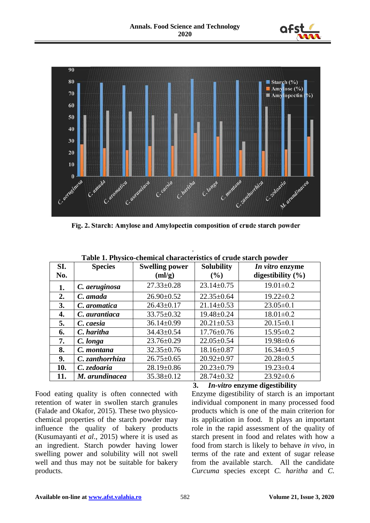



Fig. 2. Starch: Amylose and Amylopectin composition of crude starch powder

| SI.<br>No. | <b>Species</b>  | <b>Swelling power</b><br>(ml/g) | <b>Solubility</b><br>(%) | In vitro enzyme<br>digestibility $(\% )$ |
|------------|-----------------|---------------------------------|--------------------------|------------------------------------------|
| 1.         | C. aeruginosa   | $27.33 \pm 0.28$                | $23.14 \pm 0.75$         | $19.01 \pm 0.2$                          |
| 2.         | C. amada        | $26.90 \pm 0.52$                | $22.35 \pm 0.64$         | $19.22 \pm 0.2$                          |
| 3.         | C. aromatica    | $26.43 \pm 0.17$                | $21.14 \pm 0.53$         | $23.05 \pm 0.1$                          |
| 4.         | C. aurantiaca   | $33.75 \pm 0.32$                | $19.48 \pm 0.24$         | $18.01 \pm 0.2$                          |
| 5.         | C. caesia       | $36.14 \pm 0.99$                | $20.21 \pm 0.53$         | $20.15 \pm 0.1$                          |
| 6.         | C. haritha      | $34.43 \pm 0.54$                | $17.76 \pm 0.76$         | $15.95 \pm 0.2$                          |
| 7.         | C. longa        | $23.76 \pm 0.29$                | $22.05 \pm 0.54$         | $19.98 \pm 0.6$                          |
| 8.         | C. montana      | $32.35 \pm 0.76$                | $18.16 \pm 0.87$         | $16.34 \pm 0.5$                          |
| 9.         | C. zanthorrhiza | $26.75 \pm 0.65$                | $20.92 \pm 0.97$         | $20.28 \pm 0.5$                          |
| 10.        | C. zedoaria     | $28.19 \pm 0.86$                | $20.23 \pm 0.79$         | $19.23 \pm 0.4$                          |
| 11.        | M. arundinacea  | $35.38 \pm 0.12$                | $28.74 \pm 0.32$         | $23.92 \pm 0.6$                          |

**Table 1. Physico-chemical characteristics of crude starch powder**

.

Food eating quality is often connected with retention of water in swollen starch granules (Falade and Okafor, 2015). These two physicochemical properties of the starch powder may influence the quality of bakery products (Kusumayanti *et al*., 2015) where it is used as an ingredient. Starch powder having lower swelling power and solubility will not swell well and thus may not be suitable for bakery products.

## **3.** *In-vitro* **enzyme digestibility**

Enzyme digestibility of starch is an important individual component in many processed food products which is one of the main criterion for its application in food. It plays an important role in the rapid assessment of the quality of starch present in food and relates with how a food from starch is likely to behave *in vivo*, in terms of the rate and extent of sugar release from the available starch. All the candidate *Curcuma* species except *C. haritha* and *C.*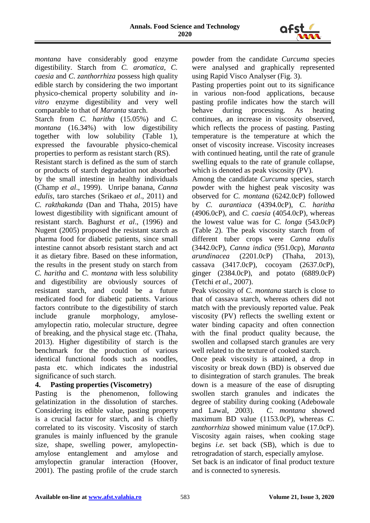

*montana* have considerably good enzyme digestibility. Starch from *C. aromatica, C. caesia* and *C. zanthorrhiza* possess high quality edible starch by considering the two important physico-chemical property solubility and *invitro* enzyme digestibility and very well comparable to that of *Maranta* starch.

Starch from *C. haritha* (15.05%) and *C. montana* (16.34%) with low digestibility together with low solubility (Table 1), expressed the favourable physico-chemical properties to perform as resistant starch (RS).

Resistant starch is defined as the sum of starch or products of starch degradation not absorbed by the small intestine in healthy individuals (Champ *et al*., 1999). Unripe banana, *Canna edulis*, taro starches (Srikaeo *et al*., 2011) and *C. rakthakanda* (Dan and Thaha, 2015) have lowest digestibility with significant amount of resistant starch. Baghurst *et al*., (1996) and Nugent (2005) proposed the resistant starch as pharma food for diabetic patients, since small intestine cannot absorb resistant starch and act it as dietary fibre. Based on these information, the results in the present study on starch from *C. haritha* and *C. montana* with less solubility and digestibility are obviously sources of resistant starch, and could be a future medicated food for diabetic patients. Various factors contribute to the digestibility of starch include granule morphology, amyloseamylopectin ratio, molecular structure, degree of breaking, and the physical stage etc. (Thaha, 2013). Higher digestibility of starch is the benchmark for the production of various identical functional foods such as noodles, pasta etc. which indicates the industrial significance of such starch.

# **4. Pasting properties (Viscometry)**

Pasting is the phenomenon, following gelatinization in the dissolution of starches. Considering its edible value, pasting property is a crucial factor for starch, and is chiefly correlated to its viscosity. Viscosity of starch granules is mainly influenced by the granule size, shape, swelling power, amylopectinamylose entanglement and amylose and amylopectin granular interaction (Hoover, 2001). The pasting profile of the crude starch powder from the candidate *Curcuma* species were analysed and graphically represented using Rapid Visco Analyser (Fig. 3).

Pasting properties point out to its significance in various non-food applications, because pasting profile indicates how the starch will behave during processing. As heating continues, an increase in viscosity observed, which reflects the process of pasting. Pasting temperature is the temperature at which the onset of viscosity increase. Viscosity increases with continued heating, until the rate of granule swelling equals to the rate of granule collapse, which is denoted as peak viscosity (PV).

Among the candidate *Curcuma* species, starch powder with the highest peak viscosity was observed for *C. montana* (6242.0cP) followed by *C. aurantiaca* (4394.0cP), *C. haritha* (4906.0cP), and *C. caesia* (4054.0cP), whereas the lowest value was for *C. longa* (543.0cP) (Table 2). The peak viscosity starch from of different tuber crops were *Canna edulis* (3442.0cP), *Canna indica* (951.0cp), *Maranta arundinacea* (2201.0cP) (Thaha, 2013), cassava (3417.0cP), cocoyam (2637.0cP), ginger (2384.0cP), and potato (6889.0cP) (Tetchi *et al*., 2007).

Peak viscosity of *C. montana* starch is close to that of cassava starch, whereas others did not match with the previously reported value. Peak viscosity (PV) reflects the swelling extent or water binding capacity and often connection with the final product quality because, the swollen and collapsed starch granules are very well related to the texture of cooked starch.

Once peak viscosity is attained, a drop in viscosity or break down (BD) is observed due to disintegration of starch granules. The break down is a measure of the ease of disrupting swollen starch granules and indicates the degree of stability during cooking (Adebowale and Lawal, 2003). *C. montana* showed maximum BD value (1153.0cP), whereas *C. zanthorrhiza* showed minimum value (17.0cP). Viscosity again raises, when cooking stage begins *i.e.* set back (SB), which is due to retrogradation of starch, especially amylose.

Set back is an indicator of final product texture and is connected to syneresis.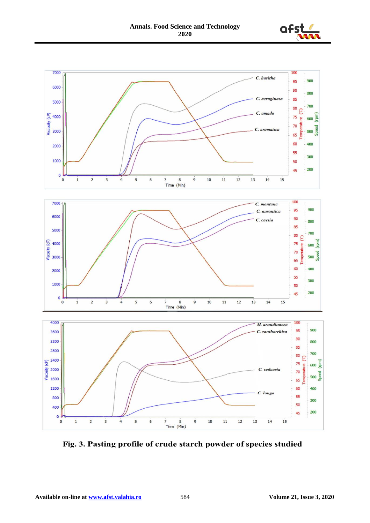



Fig. 3. Pasting profile of crude starch powder of species studied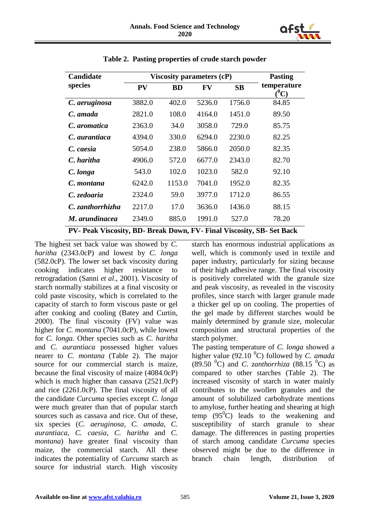

| Candidate                                                             | Viscosity parameters (cP) | <b>Pasting</b> |           |           |                        |  |  |
|-----------------------------------------------------------------------|---------------------------|----------------|-----------|-----------|------------------------|--|--|
| species                                                               | <b>PV</b>                 | <b>BD</b>      | <b>FV</b> | <b>SB</b> | temperature<br>$(^0C)$ |  |  |
| C. aeruginosa                                                         | 3882.0                    | 402.0          | 5236.0    | 1756.0    | 84.85                  |  |  |
| C. amada                                                              | 2821.0                    | 108.0          | 4164.0    | 1451.0    | 89.50                  |  |  |
| C. aromatica                                                          | 2363.0                    | 34.0           | 3058.0    | 729.0     | 85.75                  |  |  |
| C. aurantiaca                                                         | 4394.0                    | 330.0          | 6294.0    | 2230.0    | 82.25                  |  |  |
| C. caesia                                                             | 5054.0                    | 238.0          | 5866.0    | 2050.0    | 82.35                  |  |  |
| C. haritha                                                            | 4906.0                    | 572.0          | 6677.0    | 2343.0    | 82.70                  |  |  |
| C. longa                                                              | 543.0                     | 102.0          | 1023.0    | 582.0     | 92.10                  |  |  |
| C. montana                                                            | 6242.0                    | 1153.0         | 7041.0    | 1952.0    | 82.35                  |  |  |
| C. zedoaria                                                           | 2324.0                    | 59.0           | 3977.0    | 1712.0    | 86.55                  |  |  |
| C. zanthorrhizha                                                      | 2217.0                    | 17.0           | 3636.0    | 1436.0    | 88.15                  |  |  |
| M. arundinacea                                                        | 2349.0                    | 885.0          | 1991.0    | 527.0     | 78.20                  |  |  |
| PV- Peak Viscosity, BD- Break Down, FV- Final Viscosity, SB- Set Back |                           |                |           |           |                        |  |  |

**Table 2. Pasting properties of crude starch powder**

The highest set back value was showed by *C. haritha* (2343.0cP) and lowest by *C. longa* (582.0cP). The lower set back viscosity during cooking indicates higher resistance to retrogradation (Sanni *et al*., 2001). Viscosity of starch normally stabilizes at a final viscosity or cold paste viscosity, which is correlated to the capacity of starch to form viscous paste or gel after cooking and cooling (Batey and Curtin, 2000). The final viscosity (FV) value was higher for *C. montana* (7041.0cP), while lowest for *C. longa.* Other species such as *C. haritha* and *C. aurantiaca* possessed higher values nearer to *C. montana* (Table 2). The major source for our commercial starch is maize, because the final viscosity of maize (4084.0cP) which is much higher than cassava  $(2521.0cP)$ and rice (2261.0cP). The final viscosity of all the candidate *Curcuma* species except *C. longa* were much greater than that of popular starch sources such as cassava and rice. Out of these, six species (*C. aeruginosa*, *C. amada, C. aurantiaca*, *C. caesia*, *C. haritha* and *C. montana*) have greater final viscosity than maize, the commercial starch. All these indicates the potentiality of *Curcuma* starch as source for industrial starch. High viscosity

starch has enormous industrial applications as well, which is commonly used in textile and paper industry, particularly for sizing because of their high adhesive range. The final viscosity is positively correlated with the granule size and peak viscosity, as revealed in the viscosity profiles, since starch with larger granule made a thicker gel up on cooling. The properties of the gel made by different starches would be mainly determined by granule size, molecular composition and structural properties of the starch polymer.

The pasting temperature of *C. longa* showed a higher value (92.10  $^0$ C) followed by *C. amada*  $(89.50 \text{ °C})$  and *C. zanthorrhiza*  $(88.15 \text{ °C})$  as compared to other starches (Table 2). The increased viscosity of starch in water mainly contributes to the swollen granules and the amount of solubilized carbohydrate mentions to amylose, further heating and shearing at high temp  $(95^{\circ}C)$  leads to the weakening and susceptibility of starch granule to shear damage. The differences in pasting properties of starch among candidate *Curcuma* species observed might be due to the difference in branch chain length, distribution of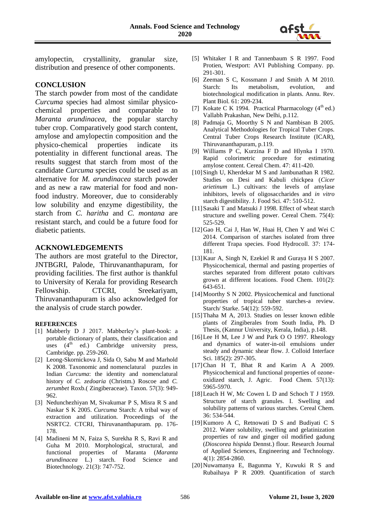

amylopectin, crystallinity, granular size, distribution and presence of other components.

# **CONCLUSION**

The starch powder from most of the candidate *Curcuma* species had almost similar physicochemical properties and comparable to *Maranta arundinacea*, the popular starchy tuber crop. Comparatively good starch content, amylose and amylopectin composition and the physico-chemical properties indicate its potentiality in different functional areas. The results suggest that starch from most of the candidate *Curcuma* species could be used as an alternative for *M. arundinacea* starch powder and as new a raw material for food and nonfood industry. Moreover, due to considerably low solubility and enzyme digestibility, the starch from *C. haritha* and *C. montana* are resistant starch, and could be a future food for diabetic patients.

### **ACKNOWLEDGEMENTS**

The authors are most grateful to the Director, JNTBGRI, Palode, Thiruvananthapuram, for providing facilities. The first author is thankful to University of Kerala for providing Research Fellowship. CTCRI, Sreekariyam, Thiruvananthapuram is also acknowledged for the analysis of crude starch powder.

#### **REFERENCES**

- [1] Mabberly D J 2017. Mabberley's plant-book: a portable dictionary of plants, their classification and uses  $(4<sup>th</sup>$  ed.) Cambridge university press, Cambridge. pp. 259-260.
- [2] Leong-Skornickova J, Sida O, Sabu M and Marhold K 2008. Taxonomic and nomenclatural puzzles in Indian *Curcuma*: the identity and nomenclatural history of *C. zedoaria* (Christm.) Roscoe and *C. zerumbet* Roxb.( Zingiberaceae). Taxon. 57(3): 949- 962.
- [3] Nedunchezhiyan M, Sivakumar P S, Misra R S and Naskar S K 2005. *Curcuma* Starch: A tribal way of extraction and utilization. Proceedings of the NSRTC2. CTCRI, Thiruvananthapuram. pp. 176- 178.
- [4] Madineni M N, Faiza S, Surekha R S, Ravi R and Guha M 2010. Morphological, structural, and functional properties of Maranta (*Maranta arundinacea* L.) starch. Food Science and Biotechnology. 21(3): 747-752.
- [5] Whitaker I R and Tannenbaum S R 1997. Food Protien, Westport: AVI Publishing Company. pp. 291-301.
- [6] Zeeman S C, Kossmann J and Smith A M 2010. Starch: Its metabolism, evolution, and biotechnological modification in plants. Annu. Rev. Plant Biol*.* 61: 209-234.
- [7] Kokate C K 1994. Practical Pharmacology  $(4<sup>th</sup>$  ed.) Vallabh Prakashan, New Delhi, p.112.
- [8] Padmaja G, Moorthy S N and Nambisan B 2005. Analytical Methodologies for Tropical Tuber Crops. Central Tuber Crops Research Institute (ICAR), Thiruvananthapuram, p.119.
- [9] Williams P C, Kurzina F D and Hlynka I 1970. Rapid colorimetric procedure for estimating amylose content. Cereal Chem. 47: 411-420.
- [10] Singh U, Kherdekar M S and Jambunathan R 1982. Studies on Desi and Kabuli chickpea (*Cicer arietinum* L.) cultivars: the levels of amylase inhibitors, levels of oligosaccharides and *in vitro* starch digestibility. J. Food Sci. 47: 510-512.
- [11]Sasaki T and Matsuki J 1998. Effect of wheat starch structure and swelling power. Cereal Chem. 75(4): 525-529.
- [12]Gao H, Cai J, Han W, Huai H, Chen Y and Wei C 2014. Comparison of starches isolated from three different Trapa species. Food Hydrocoll. 37: 174- 181.
- [13]Kaur A, Singh N, Ezekiel R and Guraya H S 2007. Physicochemical, thermal and pasting properties of starches separated from different potato cultivars grown at different locations. Food Chem. 101(2): 643-651.
- [14]Moorthy S N 2002. Physicochemical and functional properties of tropical tuber starches-a review. Starch/ Starke. 54(12): 559-592.
- [15]Thaha M A, 2013. Studies on lesser known edible plants of Zingiberales from South India, Ph. D Thesis, (Kannur University, Kerala, India), p.148.
- [16] Lee H M, Lee J W and Park O O 1997. Rheology and dynamics of water-in-oil emulsions under steady and dynamic shear flow. J. Colloid Interface Sci. 185(2): 297-305.
- [17]Chan H T, Bhat R and Karim A A 2009. Physicochemical and functional properties of ozoneoxidized starch, J. Agric. Food Chem. 57(13): 5965-5970.
- [18] Leach H W, Mc Cowen L D and Schoch T J 1959. Structure of starch granules. I. Swelling and solubility patterns of various starches. Cereal Chem*.*  36: 534-544.
- [19]Kumoro A C, Retnowati D S and Budiyati C S 2012. Water solubility, swelling and gelatinization properties of raw and ginger oil modified gadung (*Dioscorea hispida* Dennst.) flour. Research Journal of Applied Sciences, Engineering and Technology. 4(1): 2854-2860.
- [20]Nuwamanya E, Bagunma Y, Kuwuki R S and Rubaihaya P R 2009. Quantification of starch